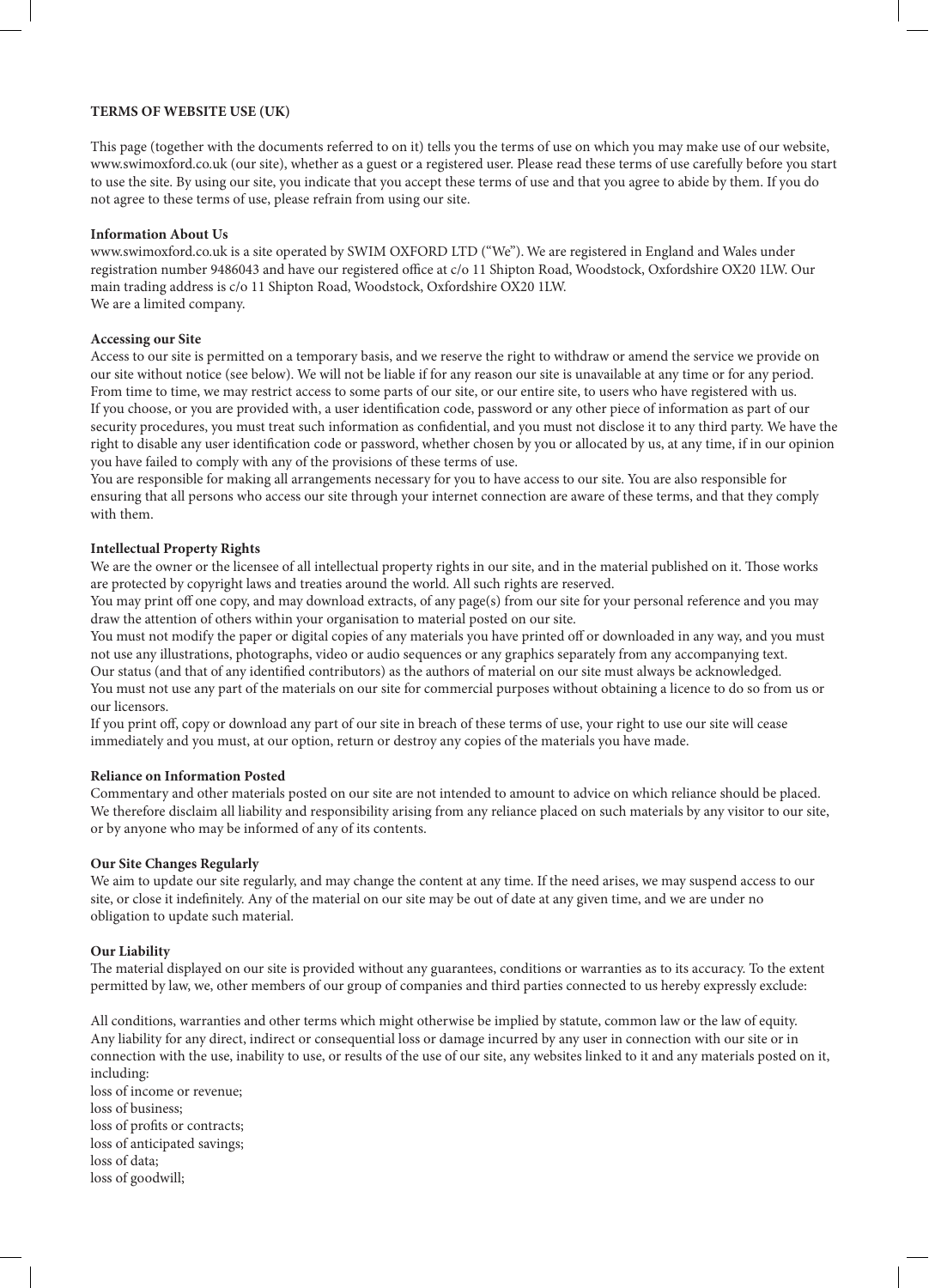### **TERMS OF WEBSITE USE (UK)**

This page (together with the documents referred to on it) tells you the terms of use on which you may make use of our website, www.swimoxford.co.uk (our site), whether as a guest or a registered user. Please read these terms of use carefully before you start to use the site. By using our site, you indicate that you accept these terms of use and that you agree to abide by them. If you do not agree to these terms of use, please refrain from using our site.

#### **Information About Us**

www.swimoxford.co.uk is a site operated by SWIM OXFORD LTD ("We"). We are registered in England and Wales under registration number 9486043 and have our registered office at c/o 11 Shipton Road, Woodstock, Oxfordshire OX20 1LW. Our main trading address is c/o 11 Shipton Road, Woodstock, Oxfordshire OX20 1LW. We are a limited company.

### **Accessing our Site**

Access to our site is permitted on a temporary basis, and we reserve the right to withdraw or amend the service we provide on our site without notice (see below). We will not be liable if for any reason our site is unavailable at any time or for any period. From time to time, we may restrict access to some parts of our site, or our entire site, to users who have registered with us. If you choose, or you are provided with, a user identification code, password or any other piece of information as part of our security procedures, you must treat such information as confidential, and you must not disclose it to any third party. We have the right to disable any user identification code or password, whether chosen by you or allocated by us, at any time, if in our opinion you have failed to comply with any of the provisions of these terms of use.

You are responsible for making all arrangements necessary for you to have access to our site. You are also responsible for ensuring that all persons who access our site through your internet connection are aware of these terms, and that they comply with them.

### **Intellectual Property Rights**

We are the owner or the licensee of all intellectual property rights in our site, and in the material published on it. Those works are protected by copyright laws and treaties around the world. All such rights are reserved.

You may print off one copy, and may download extracts, of any page(s) from our site for your personal reference and you may draw the attention of others within your organisation to material posted on our site.

You must not modify the paper or digital copies of any materials you have printed off or downloaded in any way, and you must not use any illustrations, photographs, video or audio sequences or any graphics separately from any accompanying text.

Our status (and that of any identified contributors) as the authors of material on our site must always be acknowledged. You must not use any part of the materials on our site for commercial purposes without obtaining a licence to do so from us or our licensors.

If you print off, copy or download any part of our site in breach of these terms of use, your right to use our site will cease immediately and you must, at our option, return or destroy any copies of the materials you have made.

### **Reliance on Information Posted**

Commentary and other materials posted on our site are not intended to amount to advice on which reliance should be placed. We therefore disclaim all liability and responsibility arising from any reliance placed on such materials by any visitor to our site, or by anyone who may be informed of any of its contents.

### **Our Site Changes Regularly**

We aim to update our site regularly, and may change the content at any time. If the need arises, we may suspend access to our site, or close it indefinitely. Any of the material on our site may be out of date at any given time, and we are under no obligation to update such material.

### **Our Liability**

The material displayed on our site is provided without any guarantees, conditions or warranties as to its accuracy. To the extent permitted by law, we, other members of our group of companies and third parties connected to us hereby expressly exclude:

All conditions, warranties and other terms which might otherwise be implied by statute, common law or the law of equity. Any liability for any direct, indirect or consequential loss or damage incurred by any user in connection with our site or in connection with the use, inability to use, or results of the use of our site, any websites linked to it and any materials posted on it, including: loss of income or revenue;

loss of business; loss of profits or contracts; loss of anticipated savings; loss of data; loss of goodwill;